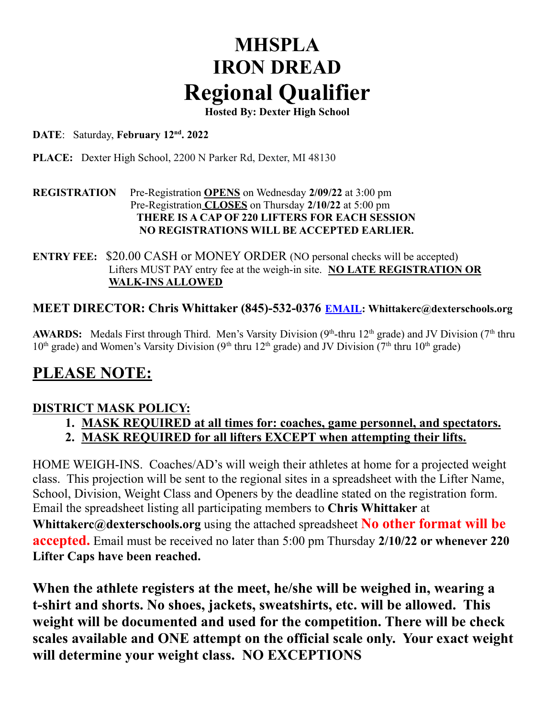# **MHSPLA IRON DREAD Regional Qualifier**

**Hosted By: Dexter High School**

#### **DATE**: Saturday, **February 12nd . 2022**

**PLACE:** Dexter High School, 2200 N Parker Rd, Dexter, MI 48130

#### **REGISTRATION** Pre-Registration **OPENS** on Wednesday **2/09/22** at 3:00 pm Pre-Registration **CLOSES** on Thursday **2/10/22** at 5:00 pm **THERE IS A CAP OF 220 LIFTERS FOR EACH SESSION NO REGISTRATIONS WILL BE ACCEPTED EARLIER.**

**ENTRY FEE:** \$20.00 CASH or MONEY ORDER (NO personal checks will be accepted) Lifters MUST PAY entry fee at the weigh-in site. **NO LATE REGISTRATION OR WALK-INS ALLOWED**

#### **MEET DIRECTOR: Chris Whittaker (845)-532-0376 EMAIL: Whittakerc@dexterschools.org**

AWARDS: Medals First through Third. Men's Varsity Division (9<sup>th</sup>-thru 12<sup>th</sup> grade) and JV Division (7<sup>th</sup> thru  $10<sup>th</sup>$  grade) and Women's Varsity Division (9<sup>th</sup> thru 12<sup>th</sup> grade) and JV Division (7<sup>th</sup> thru 10<sup>th</sup> grade)

### **PLEASE NOTE:**

#### **DISTRICT MASK POLICY:**

- **1. MASK REQUIRED at all times for: coaches, game personnel, and spectators.**
- **2. MASK REQUIRED for all lifters EXCEPT when attempting their lifts.**

HOME WEIGH-INS. Coaches/AD's will weigh their athletes at home for a projected weight class. This projection will be sent to the regional sites in a spreadsheet with the Lifter Name, School, Division, Weight Class and Openers by the deadline stated on the registration form. Email the spreadsheet listing all participating members to **Chris Whittaker** at

**Whittakerc@dexterschools.org** using the attached spreadsheet **No other format will be accepted.** Email must be received no later than 5:00 pm Thursday **2/10/22 or whenever 220 Lifter Caps have been reached.**

**When the athlete registers at the meet, he/she will be weighed in, wearing a t-shirt and shorts. No shoes, jackets, sweatshirts, etc. will be allowed. This weight will be documented and used for the competition. There will be check scales available and ONE attempt on the official scale only. Your exact weight will determine your weight class. NO EXCEPTIONS**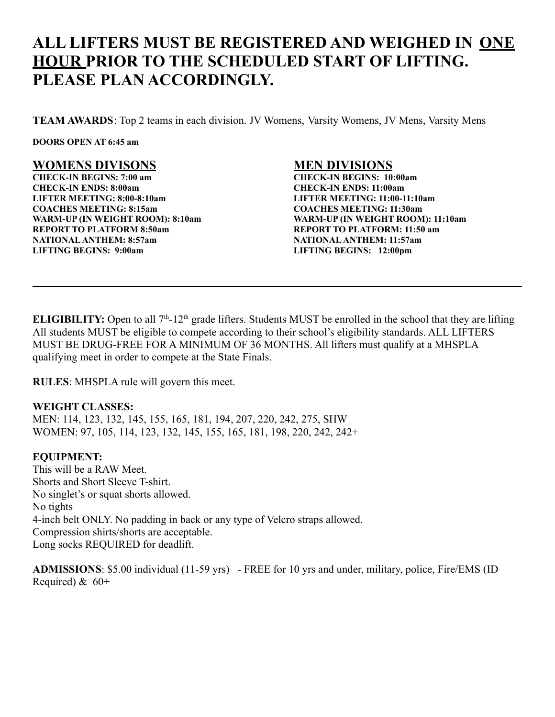## **ALL LIFTERS MUST BE REGISTERED AND WEIGHED IN ONE HOUR PRIOR TO THE SCHEDULED START OF LIFTING. PLEASE PLAN ACCORDINGLY.**

**TEAM AWARDS**: Top 2 teams in each division. JV Womens, Varsity Womens, JV Mens, Varsity Mens

**DOORS OPEN AT 6:45 am**

#### **WOMENS DIVISONS**

**CHECK-IN BEGINS: 7:00 am CHECK-IN ENDS: 8:00am LIFTER MEETING: 8:00-8:10am COACHES MEETING: 8:15am WARM-UP (IN WEIGHT ROOM): 8:10am REPORT TO PLATFORM 8:50am NATIONALANTHEM: 8:57am LIFTING BEGINS: 9:00am**

#### **MEN DIVISIONS**

**CHECK-IN BEGINS: 10:00am CHECK-IN ENDS: 11:00am LIFTER MEETING: 11:00-11:10am COACHES MEETING: 11:30am WARM-UP (IN WEIGHT ROOM): 11:10am REPORT TO PLATFORM: 11:50 am NATIONALANTHEM: 11:57am LIFTING BEGINS: 12:00pm**

**ELIGIBILITY:** Open to all  $7<sup>th</sup>$ -12<sup>th</sup> grade lifters. Students MUST be enrolled in the school that they are lifting All students MUST be eligible to compete according to their school's eligibility standards. ALL LIFTERS MUST BE DRUG-FREE FOR A MINIMUM OF 36 MONTHS. All lifters must qualify at a MHSPLA qualifying meet in order to compete at the State Finals.

**RULES**: MHSPLA rule will govern this meet.

#### **WEIGHT CLASSES:**

MEN: 114, 123, 132, 145, 155, 165, 181, 194, 207, 220, 242, 275, SHW WOMEN: 97, 105, 114, 123, 132, 145, 155, 165, 181, 198, 220, 242, 242+

#### **EQUIPMENT:**

This will be a RAW Meet. Shorts and Short Sleeve T-shirt. No singlet's or squat shorts allowed. No tights 4-inch belt ONLY. No padding in back or any type of Velcro straps allowed. Compression shirts/shorts are acceptable. Long socks REQUIRED for deadlift.

**ADMISSIONS**: \$5.00 individual (11-59 yrs) - FREE for 10 yrs and under, military, police, Fire/EMS (ID Required) & 60+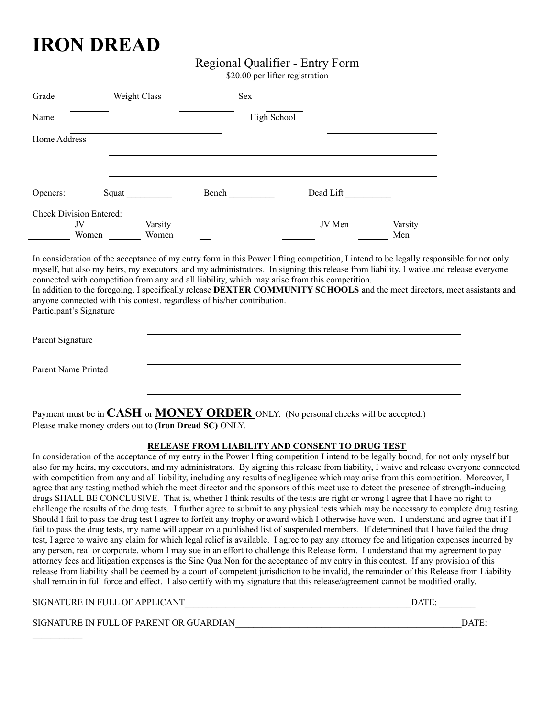## **IRON DREAD**

#### Regional Qualifier - Entry Form

\$20.00 per lifter registration

| Grade        | Weight Class                                  |                  |       | Sex         |           |                |
|--------------|-----------------------------------------------|------------------|-------|-------------|-----------|----------------|
| Name         |                                               |                  |       | High School |           |                |
| Home Address |                                               |                  |       |             |           |                |
|              |                                               |                  |       |             |           |                |
| Openers:     | Squat                                         |                  | Bench |             | Dead Lift |                |
|              | <b>Check Division Entered:</b><br>JV<br>Women | Varsity<br>Women |       |             | JV Men    | Varsity<br>Men |

In consideration of the acceptance of my entry form in this Power lifting competition, I intend to be legally responsible for not only myself, but also my heirs, my executors, and my administrators. In signing this release from liability, I waive and release everyone connected with competition from any and all liability, which may arise from this competition. In addition to the foregoing, I specifically release **DEXTER COMMUNITY SCHOOLS** and the meet directors, meet assistants and

anyone connected with this contest, regardless of his/her contribution. Participant's Signature

| Parent Signature    |  |  |
|---------------------|--|--|
| Parent Name Printed |  |  |

Payment must be in **CASH** or **MONEY ORDER** ONLY. (No personal checks will be accepted.) Please make money orders out to **(Iron Dread SC)** ONLY.

#### **RELEASE FROM LIABILITY AND CONSENT TO DRUG TEST**

In consideration of the acceptance of my entry in the Power lifting competition I intend to be legally bound, for not only myself but also for my heirs, my executors, and my administrators. By signing this release from liability, I waive and release everyone connected with competition from any and all liability, including any results of negligence which may arise from this competition. Moreover, I agree that any testing method which the meet director and the sponsors of this meet use to detect the presence of strength-inducing drugs SHALL BE CONCLUSIVE. That is, whether I think results of the tests are right or wrong I agree that I have no right to challenge the results of the drug tests. I further agree to submit to any physical tests which may be necessary to complete drug testing. Should I fail to pass the drug test I agree to forfeit any trophy or award which I otherwise have won. I understand and agree that if I fail to pass the drug tests, my name will appear on a published list of suspended members. If determined that I have failed the drug test, I agree to waive any claim for which legal relief is available. I agree to pay any attorney fee and litigation expenses incurred by any person, real or corporate, whom I may sue in an effort to challenge this Release form. I understand that my agreement to pay attorney fees and litigation expenses is the Sine Qua Non for the acceptance of my entry in this contest. If any provision of this release from liability shall be deemed by a court of competent jurisdiction to be invalid, the remainder of this Release from Liability shall remain in full force and effect. I also certify with my signature that this release/agreement cannot be modified orally.

SIGNATURE IN FULL OF APPLICANT LETTER LATE AND A LATE OF A LATE OF A LATE OF A LATE OF A LATE OF A LATE OF A LA

SIGNATURE IN FULL OF PARENT OR GUARDIAN WILL OF THE SERVICE OF STREET AND SERVICE OF PARENT OR GUARDIAN